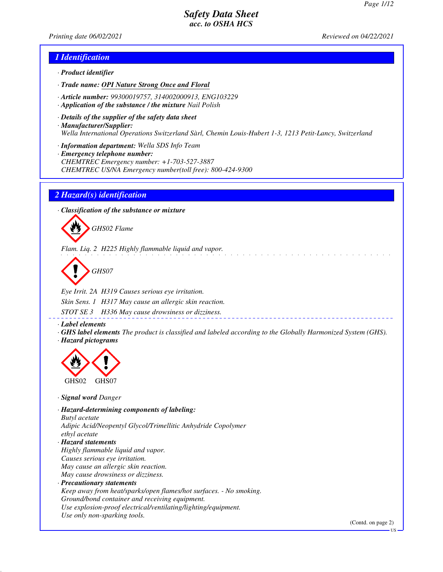*Printing date 06/02/2021 Reviewed on 04/22/2021*

## *1 Identification*

- *· Product identifier*
- *· Trade name: OPI Nature Strong Once and Floral*
- *· Article number: 99300019757, 314002000913, ENG103229*
- *· Application of the substance / the mixture Nail Polish*
- *· Details of the supplier of the safety data sheet · Manufacturer/Supplier: Wella International Operations Switzerland Sàrl, Chemin Louis-Hubert 1-3, 1213 Petit-Lancy, Switzerland*
- *· Information department: Wella SDS Info Team*
- *· Emergency telephone number: CHEMTREC Emergency number: +1-703-527-3887 CHEMTREC US/NA Emergency number(toll free): 800-424-9300*

#### *2 Hazard(s) identification*

*· Classification of the substance or mixture*



*Flam. Liq. 2 H225 Highly flammable liquid and vapor.*

*GHS07*

*Eye Irrit. 2A H319 Causes serious eye irritation. Skin Sens. 1 H317 May cause an allergic skin reaction.*

*STOT SE 3 H336 May cause drowsiness or dizziness.*

*· Label elements*

*· GHS label elements The product is classified and labeled according to the Globally Harmonized System (GHS). · Hazard pictograms*



*· Signal word Danger*

*· Hazard-determining components of labeling: Butyl acetate Adipic Acid/Neopentyl Glycol/Trimellitic Anhydride Copolymer ethyl acetate · Hazard statements Highly flammable liquid and vapor. Causes serious eye irritation. May cause an allergic skin reaction. May cause drowsiness or dizziness. · Precautionary statements Keep away from heat/sparks/open flames/hot surfaces. - No smoking. Ground/bond container and receiving equipment. Use explosion-proof electrical/ventilating/lighting/equipment. Use only non-sparking tools.*

(Contd. on page 2)

US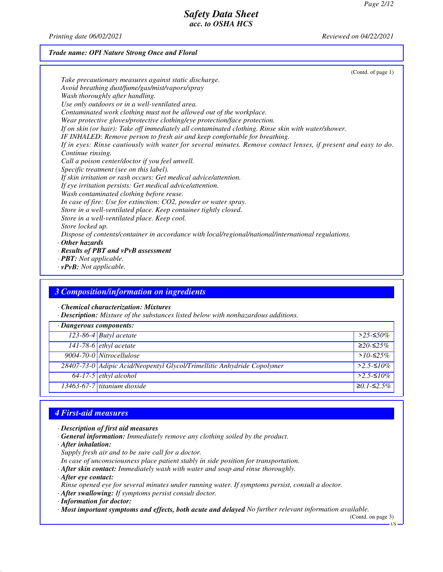*Printing date 06/02/2021 Reviewed on 04/22/2021*

## *Trade name: OPI Nature Strong Once and Floral*

| (Contd. of page 1)                                                                                             |  |
|----------------------------------------------------------------------------------------------------------------|--|
| Take precautionary measures against static discharge.                                                          |  |
| Avoid breathing dust/fume/gas/mist/vapors/spray                                                                |  |
| Wash thoroughly after handling.                                                                                |  |
| Use only outdoors or in a well-ventilated area.                                                                |  |
| Contaminated work clothing must not be allowed out of the workplace.                                           |  |
| Wear protective gloves/protective clothing/eye protection/face protection.                                     |  |
| If on skin (or hair): Take off immediately all contaminated clothing. Rinse skin with water/shower.            |  |
| IF INHALED: Remove person to fresh air and keep comfortable for breathing.                                     |  |
| If in eyes: Rinse cautiously with water for several minutes. Remove contact lenses, if present and easy to do. |  |
| Continue rinsing.                                                                                              |  |
| Call a poison center/doctor if you feel unwell.                                                                |  |
| Specific treatment (see on this label).                                                                        |  |
| If skin irritation or rash occurs: Get medical advice/attention.                                               |  |
| If eye irritation persists: Get medical advice/attention.                                                      |  |
| Wash contaminated clothing before reuse.                                                                       |  |
| In case of fire: Use for extinction: CO2, powder or water spray.                                               |  |
| Store in a well-ventilated place. Keep container tightly closed.                                               |  |
| Store in a well-ventilated place. Keep cool.                                                                   |  |
| Store locked up.                                                                                               |  |
| Dispose of contents/container in accordance with local/regional/national/international regulations.            |  |
| $\cdot$ Other hazards                                                                                          |  |
| $\cdot$ Results of PBT and vPvB assessment                                                                     |  |
| $\cdot$ <b>PBT:</b> Not applicable.                                                                            |  |

*· vPvB: Not applicable.*

## *3 Composition/information on ingredients*

*· Chemical characterization: Mixtures*

*· Description: Mixture of the substances listed below with nonhazardous additions.*

| $\cdot$ Dangerous components: |                                                                         |              |  |
|-------------------------------|-------------------------------------------------------------------------|--------------|--|
|                               | 123-86-4 Butyl acetate                                                  | $>$ 25-≤50%  |  |
|                               | 141-78-6 <i>ethyl</i> acetate                                           | $≥20-≤25%$   |  |
|                               | 9004-70-0 Nitrocellulose                                                | $>10-52.5\%$ |  |
|                               | 28407-73-0 Adipic Acid/Neopentyl Glycol/Trimellitic Anhydride Copolymer | $>2.5$ -≤10% |  |
|                               | $64-17-5$ ethyl alcohol                                                 | $>2.5-10\%$  |  |
|                               | $13463-67-7$ titanium dioxide                                           | $≥0.1-S2.5%$ |  |

# *4 First-aid measures*

- *· Description of first aid measures*
- *· General information: Immediately remove any clothing soiled by the product.*
- *· After inhalation:*
- *Supply fresh air and to be sure call for a doctor.*
- *In case of unconsciousness place patient stably in side position for transportation.*
- *· After skin contact: Immediately wash with water and soap and rinse thoroughly.*
- *· After eye contact:*
- *Rinse opened eye for several minutes under running water. If symptoms persist, consult a doctor.*
- *· After swallowing: If symptoms persist consult doctor.*
- *· Information for doctor:*
- *· Most important symptoms and effects, both acute and delayed No further relevant information available.*

(Contd. on page 3)

US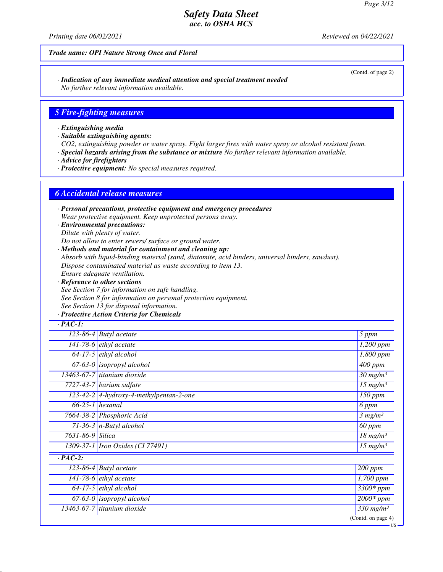*Printing date 06/02/2021 Reviewed on 04/22/2021*

#### *Trade name: OPI Nature Strong Once and Floral*

*· Indication of any immediate medical attention and special treatment needed No further relevant information available.*

#### *5 Fire-fighting measures*

*· Extinguishing media*

*· Suitable extinguishing agents:*

*CO2, extinguishing powder or water spray. Fight larger fires with water spray or alcohol resistant foam.*

*· Special hazards arising from the substance or mixture No further relevant information available.*

*· Advice for firefighters*

*· Protective equipment: No special measures required.*

#### *6 Accidental release measures*

*· Personal precautions, protective equipment and emergency procedures Wear protective equipment. Keep unprotected persons away.*

*· Environmental precautions: Dilute with plenty of water.*

*Do not allow to enter sewers/ surface or ground water.*

*· Methods and material for containment and cleaning up:*

*Absorb with liquid-binding material (sand, diatomite, acid binders, universal binders, sawdust).*

*Dispose contaminated material as waste according to item 13.*

*Ensure adequate ventilation.*

*· Reference to other sections See Section 7 for information on safe handling. See Section 8 for information on personal protection equipment. See Section 13 for disposal information.*

## *· Protective Action Criteria for Chemicals*

| $\cdot$ PAC-1:   |                                         |                                   |
|------------------|-----------------------------------------|-----------------------------------|
|                  | $\overline{123}$ -86-4 Butyl acetate    | 5 ppm                             |
|                  | 141-78-6 $ethyl$ acetate                | $1,200$ ppm                       |
|                  | $64-17-5$ ethyl alcohol                 | 1,800 ppm                         |
|                  | $67-63-0$ isopropyl alcohol             | $\overline{400}$ ppm              |
|                  | 13463-67-7 titanium dioxide             | $30$ mg/m <sup>3</sup>            |
|                  | $7727-43-7$ barium sulfate              | $15$ mg/m <sup>3</sup>            |
|                  | 123-42-2 4-hydroxy-4-methylpentan-2-one | 150 ppm                           |
|                  | $66-25-1$ hexanal                       | 6 ppm                             |
|                  | 7664-38-2 Phosphoric Acid               | 3 mg/m <sup>3</sup>               |
|                  | 71-36-3 $n$ -Butyl alcohol              | 60 ppm                            |
| 7631-86-9 Silica |                                         | $18$ mg/m <sup>3</sup>            |
|                  | 1309-37-1   Iron Oxides (CI 77491)      | $\overline{15}$ mg/m <sup>3</sup> |
| $\cdot$ PAC-2:   |                                         |                                   |
| $123 - 86 - 4$   | <b>Butyl</b> acetate                    | $200$ ppm                         |
|                  | 141-78-6 <i>ethyl</i> acetate           | 1,700 ppm                         |
|                  | $64-17-5$ ethyl alcohol                 | $\overline{3300}$ * ppm           |
|                  | $67-63-0$ isopropyl alcohol             | $2000*$ ppm                       |
|                  | 13463-67-7 titanium dioxide             | $\frac{330 \text{ mg}}{m}$        |
|                  |                                         | $\overline{(Contd. on page 4)}$   |

(Contd. of page 2)

US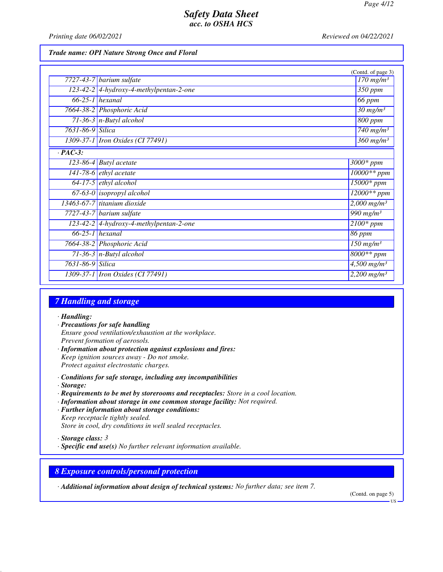*Printing date 06/02/2021 Reviewed on 04/22/2021*

#### *Trade name: OPI Nature Strong Once and Floral*

|                  |                                           | (Contd. of page 3)                  |
|------------------|-------------------------------------------|-------------------------------------|
|                  | 7727-43-7 barium sulfate                  | $170$ mg/m <sup>3</sup>             |
|                  | $123-42-2$ 4-hydroxy-4-methylpentan-2-one | 350 ppm                             |
|                  | $66-25-1$ hexanal                         | 66 ppm                              |
|                  | 7664-38-2 Phosphoric Acid                 | $30 \ mg/m^3$                       |
|                  | $71-36-3$ n-Butyl alcohol                 | 800 ppm                             |
| 7631-86-9 Silica |                                           | $\overline{7}40$ mg/m <sup>3</sup>  |
|                  | 1309-37-1 <i>Iron Oxides</i> (CI 77491)   | $\frac{360 \text{ mg}}{m}$          |
| $\cdot$ PAC-3:   |                                           |                                     |
|                  | $\overline{123}$ -86-4 Butyl acetate      | $3000*$ ppm                         |
|                  | $141-78-6$ ethyl acetate                  | $10000**$ ppm                       |
|                  | $64-17-5$ ethyl alcohol                   | 15000* ppm                          |
|                  | $67-63-0$ isopropyl alcohol               | $12000**$ ppm                       |
|                  | $13463-67-7$ titanium dioxide             | $2,000$ mg/m <sup>3</sup>           |
|                  | 7727-43-7 barium sulfate                  | $\frac{990 \text{ mg}}{m}$          |
|                  | $123-42-2$ 4-hydroxy-4-methylpentan-2-one | $\overline{2100}$ * ppm             |
|                  | $66-25-1$ hexanal                         | $86$ ppm                            |
|                  | 7664-38-2 Phosphoric Acid                 | $150$ mg/m <sup>3</sup>             |
|                  | $71-36-3$ n-Butyl alcohol                 | 8000** ppm                          |
| 7631-86-9 Silica |                                           | $\frac{4,500}{9}$ mg/m <sup>3</sup> |
|                  | 1309-37-1 <i>Iron Oxides</i> (CI 77491)   | 2,200 $mg/m^3$                      |

# *7 Handling and storage*

#### *· Handling:*

- *· Precautions for safe handling Ensure good ventilation/exhaustion at the workplace. Prevent formation of aerosols. · Information about protection against explosions and fires:*
- *Keep ignition sources away Do not smoke. Protect against electrostatic charges.*
- *· Conditions for safe storage, including any incompatibilities*
- *· Storage:*
- *· Requirements to be met by storerooms and receptacles: Store in a cool location.*
- *· Information about storage in one common storage facility: Not required.*
- *· Further information about storage conditions: Keep receptacle tightly sealed. Store in cool, dry conditions in well sealed receptacles.*
- *· Storage class: 3*
- *· Specific end use(s) No further relevant information available.*

#### *8 Exposure controls/personal protection*

*· Additional information about design of technical systems: No further data; see item 7.*

(Contd. on page 5)

US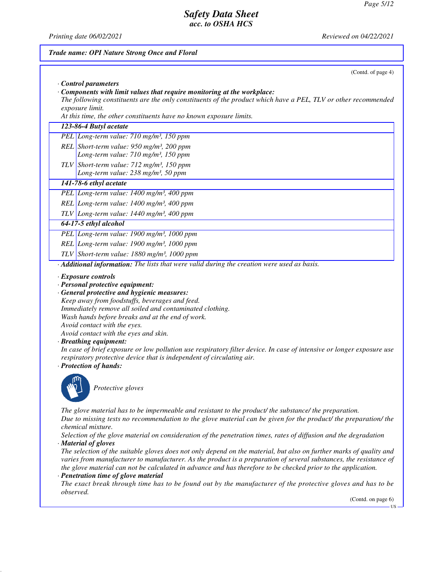(Contd. of page 4)

# *Safety Data Sheet acc. to OSHA HCS*

*Printing date 06/02/2021 Reviewed on 04/22/2021*

# *Trade name: OPI Nature Strong Once and Floral · Control parameters*

*· Components with limit values that require monitoring at the workplace:*

*The following constituents are the only constituents of the product which have a PEL, TLV or other recommended exposure limit.*

*At this time, the other constituents have no known exposure limits.*

#### *123-86-4 Butyl acetate*

*PEL Long-term value: 710 mg/m³, 150 ppm REL Short-term value: 950 mg/m³, 200 ppm Long-term value: 710 mg/m³, 150 ppm*

*TLV Short-term value: 712 mg/m³, 150 ppm Long-term value: 238 mg/m³, 50 ppm*

## *141-78-6 ethyl acetate*

*PEL Long-term value: 1400 mg/m³, 400 ppm*

*REL Long-term value: 1400 mg/m³, 400 ppm*

*TLV Long-term value: 1440 mg/m³, 400 ppm*

## *64-17-5 ethyl alcohol*

*PEL Long-term value: 1900 mg/m³, 1000 ppm*

*REL Long-term value: 1900 mg/m³, 1000 ppm*

*TLV Short-term value: 1880 mg/m³, 1000 ppm*

*· Additional information: The lists that were valid during the creation were used as basis.*

*· Exposure controls*

*· Personal protective equipment:*

*· General protective and hygienic measures:*

*Keep away from foodstuffs, beverages and feed. Immediately remove all soiled and contaminated clothing. Wash hands before breaks and at the end of work. Avoid contact with the eyes.*

*Avoid contact with the eyes and skin.*

#### *· Breathing equipment:*

*In case of brief exposure or low pollution use respiratory filter device. In case of intensive or longer exposure use respiratory protective device that is independent of circulating air.*

#### *· Protection of hands:*



*Protective gloves*

*The glove material has to be impermeable and resistant to the product/ the substance/ the preparation. Due to missing tests no recommendation to the glove material can be given for the product/ the preparation/ the chemical mixture.*

*Selection of the glove material on consideration of the penetration times, rates of diffusion and the degradation · Material of gloves*

*The selection of the suitable gloves does not only depend on the material, but also on further marks of quality and varies from manufacturer to manufacturer. As the product is a preparation of several substances, the resistance of the glove material can not be calculated in advance and has therefore to be checked prior to the application.*

## *· Penetration time of glove material*

*The exact break through time has to be found out by the manufacturer of the protective gloves and has to be observed.*

(Contd. on page 6)

**TIC**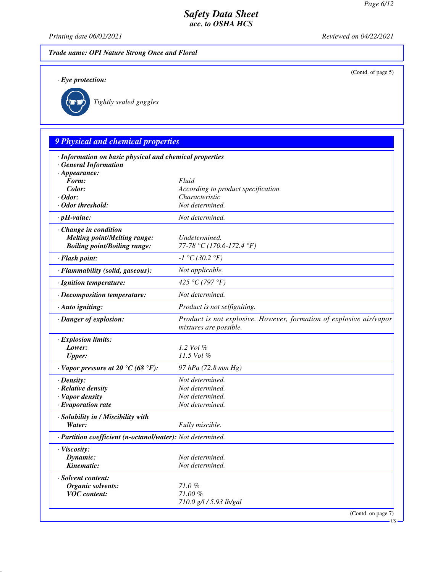(Contd. of page 5)

## *Safety Data Sheet acc. to OSHA HCS*

*Printing date 06/02/2021 Reviewed on 04/22/2021*

*Trade name: OPI Nature Strong Once and Floral*

*· Eye protection:*



*Tightly sealed goggles*

# *9 Physical and chemical properties · Information on basic physical and chemical properties · General Information · Appearance: Form: Fluid Color: According to product specification · Odor: Characteristic · Odor threshold: Not determined. · pH-value: Not determined. · Change in condition Melting point/Melting range: Undetermined. Boiling point/Boiling range: 77-78 °C (170.6-172.4 °F) · Flash point: -1 °C (30.2 °F) · Flammability (solid, gaseous): Not applicable. · Ignition temperature: 425 °C (797 °F) · Decomposition temperature: Not determined. · Auto igniting: Product is not selfigniting. · Danger of explosion: Product is not explosive. However, formation of explosive air/vapor mixtures are possible. · Explosion limits: Lower: 1.2 Vol % Upper: 11.5 Vol % · Vapor pressure at 20 °C (68 °F): 97 hPa (72.8 mm Hg) · Density: Not determined. · Relative density Not determined. · Vapor density Not determined. <i>·* Evaporation rate *· Solubility in / Miscibility with Water: Fully miscible. · Partition coefficient (n-octanol/water): Not determined. · Viscosity: Dynamic: Not determined. Kinematic: Not determined. · Solvent content: Organic solvents: 71.0 % VOC content: 71.00 %*

*710.0 g/l / 5.93 lb/gal*

(Contd. on page 7)

US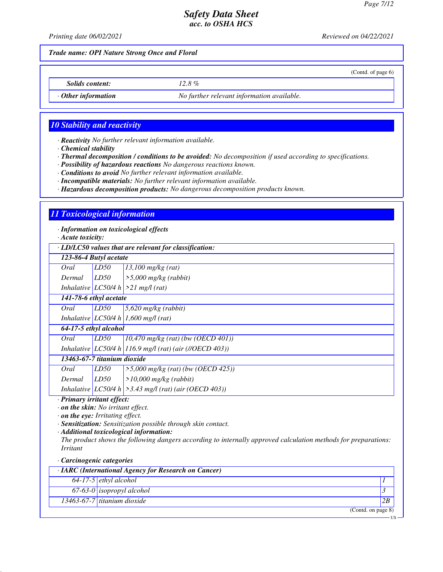(Contd. of page 6)

## *Safety Data Sheet acc. to OSHA HCS*

*Printing date 06/02/2021 Reviewed on 04/22/2021*

*Trade name: OPI Nature Strong Once and Floral*

*Solids content: 12.8 %*

*· Other information No further relevant information available.*

## *10 Stability and reactivity*

*· Reactivity No further relevant information available.*

*· Chemical stability*

*· Thermal decomposition / conditions to be avoided: No decomposition if used according to specifications.*

*· Possibility of hazardous reactions No dangerous reactions known.*

*· Conditions to avoid No further relevant information available.*

*· Incompatible materials: No further relevant information available.*

*· Hazardous decomposition products: No dangerous decomposition products known.*

#### *11 Toxicological information*

*· Information on toxicological effects*

*· Acute toxicity:*

*· LD/LC50 values that are relevant for classification:*

| · LD/LC50 values inul are relevant for classification. |      |                                                             |
|--------------------------------------------------------|------|-------------------------------------------------------------|
| 123-86-4 Butyl acetate                                 |      |                                                             |
| Oral                                                   | LD50 | $13,100$ mg/kg (rat)                                        |
| Dermal                                                 | LD50 | $>$ 5,000 mg/kg (rabbit)                                    |
|                                                        |      | Inhalative $LC50/4 h$ > 21 mg/l (rat)                       |
| 141-78-6 ethyl acetate                                 |      |                                                             |
| Oral                                                   | LD50 | $5,620$ mg/kg (rabbit)                                      |
|                                                        |      | Inhalative LC50/4 h 1,600 mg/l (rat)                        |
| 64-17-5 ethyl alcohol                                  |      |                                                             |
| Oral                                                   | LD50 | $10,470$ mg/kg (rat) (bw (OECD 401))                        |
|                                                        |      | Inhalative LC50/4 h 116.9 mg/l (rat) (air (//OECD 403))     |
| 13463-67-7 titanium dioxide                            |      |                                                             |
| Oral                                                   | LD50 | $>5,000$ mg/kg (rat) (bw (OECD 425))                        |
| Dermal                                                 | LD50 | $>10,000$ mg/kg (rabbit)                                    |
|                                                        |      | Inhalative LC50/4 h $\geq$ 3.43 mg/l (rat) (air (OECD 403)) |

*· Primary irritant effect:*

*· on the skin: No irritant effect.*

*· on the eye: Irritating effect.*

*· Sensitization: Sensitization possible through skin contact.*

*· Additional toxicological information:*

*The product shows the following dangers according to internally approved calculation methods for preparations: Irritant*

*· Carcinogenic categories*

| $\cdot$ IARC (International Agency for Research on Cancer) |                                      |    |  |
|------------------------------------------------------------|--------------------------------------|----|--|
|                                                            | $\boxed{64-17-5}$ ethyl alcohol      |    |  |
|                                                            | 67-63-0 <i>isopropyl</i> alcohol     |    |  |
|                                                            | $\sqrt{13463-67-7}$ titanium dioxide | 2B |  |
|                                                            | (Contd. on page 8)                   |    |  |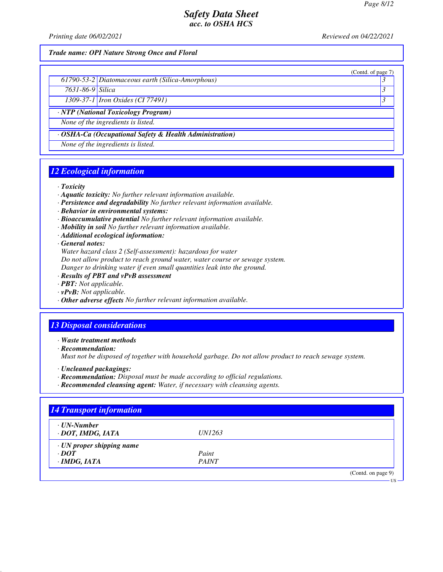(Contd. of page 7)

## *Safety Data Sheet acc. to OSHA HCS*

*Printing date 06/02/2021 Reviewed on 04/22/2021*

*Trade name: OPI Nature Strong Once and Floral*

|  | 61790-53-2 Diatomaceous earth (Silica-Amorphous) |  |
|--|--------------------------------------------------|--|
|--|--------------------------------------------------|--|

*7631-86-9 Silica 3* 

*1309-37-1 Iron Oxides (CI 77491) 3* 

*· NTP (National Toxicology Program)*

*None of the ingredients is listed.*

*· OSHA-Ca (Occupational Safety & Health Administration)*

*None of the ingredients is listed.*

## *12 Ecological information*

*· Toxicity*

- *· Aquatic toxicity: No further relevant information available.*
- *· Persistence and degradability No further relevant information available.*
- *· Behavior in environmental systems:*
- *· Bioaccumulative potential No further relevant information available.*
- *· Mobility in soil No further relevant information available.*
- *· Additional ecological information:*

*· General notes:*

*Water hazard class 2 (Self-assessment): hazardous for water*

*Do not allow product to reach ground water, water course or sewage system.*

*Danger to drinking water if even small quantities leak into the ground.*

- *· Results of PBT and vPvB assessment*
- *· PBT: Not applicable.*
- *· vPvB: Not applicable.*
- *· Other adverse effects No further relevant information available.*

## *13 Disposal considerations*

*· Waste treatment methods*

*· Recommendation:*

*Must not be disposed of together with household garbage. Do not allow product to reach sewage system.*

- *· Uncleaned packagings:*
- *· Recommendation: Disposal must be made according to official regulations.*
- *· Recommended cleansing agent: Water, if necessary with cleansing agents.*

| $\cdot$ UN-Number               |               |  |
|---------------------------------|---------------|--|
| · DOT, IMDG, IATA               | <i>UN1263</i> |  |
| $\cdot$ UN proper shipping name |               |  |
| $\cdot$ DOT                     | Paint         |  |
| $\cdot$ IMDG, IATA              | <b>PAINT</b>  |  |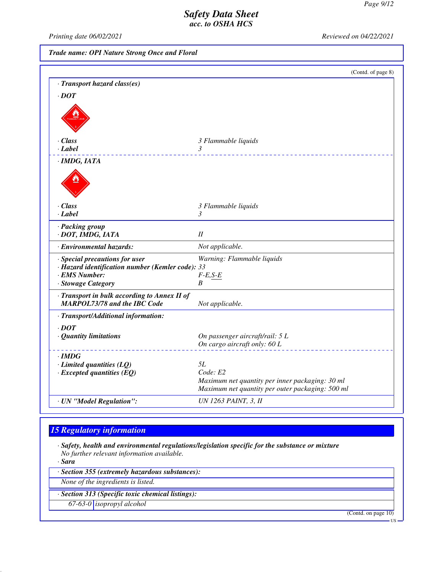*Printing date 06/02/2021 Reviewed on 04/22/2021*

*Trade name: OPI Nature Strong Once and Floral*

|                                                                                                                           | (Contd. of page 8)                                                                                  |
|---------------------------------------------------------------------------------------------------------------------------|-----------------------------------------------------------------------------------------------------|
| · Transport hazard class(es)                                                                                              |                                                                                                     |
| $\cdot$ <i>DOT</i>                                                                                                        |                                                                                                     |
|                                                                                                                           |                                                                                                     |
| $\cdot$ Class                                                                                                             | 3 Flammable liquids                                                                                 |
| $\cdot$ Label                                                                                                             | 3                                                                                                   |
| $\cdot$ IMDG, IATA                                                                                                        |                                                                                                     |
|                                                                                                                           |                                                                                                     |
| · Class                                                                                                                   | 3 Flammable liquids                                                                                 |
| $\cdot$ Label                                                                                                             | 3                                                                                                   |
| · Packing group<br>· DOT, IMDG, IATA                                                                                      | $I\!I$                                                                                              |
| · Environmental hazards:                                                                                                  | Not applicable.                                                                                     |
| · Special precautions for user<br>· Hazard identification number (Kemler code): 33<br>· EMS Number:<br>· Stowage Category | Warning: Flammable liquids<br>$F-E, S-E$<br>B                                                       |
| · Transport in bulk according to Annex II of<br><b>MARPOL73/78 and the IBC Code</b>                                       | Not applicable.                                                                                     |
| · Transport/Additional information:                                                                                       |                                                                                                     |
| $\cdot$ DOT                                                                                                               |                                                                                                     |
| · Quantity limitations                                                                                                    | On passenger aircraft/rail: 5 L                                                                     |
|                                                                                                                           | On cargo aircraft only: 60 L                                                                        |
| $\cdot$ IMDG                                                                                                              |                                                                                                     |
| $\cdot$ Limited quantities (LQ)                                                                                           | 5L                                                                                                  |
| $\cdot$ Excepted quantities (EQ)                                                                                          | Code: E2                                                                                            |
|                                                                                                                           | Maximum net quantity per inner packaging: 30 ml<br>Maximum net quantity per outer packaging: 500 ml |
|                                                                                                                           |                                                                                                     |
| · UN "Model Regulation":                                                                                                  | <b>UN 1263 PAINT, 3, II</b>                                                                         |

# *15 Regulatory information*

*· Safety, health and environmental regulations/legislation specific for the substance or mixture No further relevant information available.*

*· Sara*

*· Section 355 (extremely hazardous substances):*

*None of the ingredients is listed.*

*· Section 313 (Specific toxic chemical listings):*

*67-63-0 isopropyl alcohol*

(Contd. on page 10)

US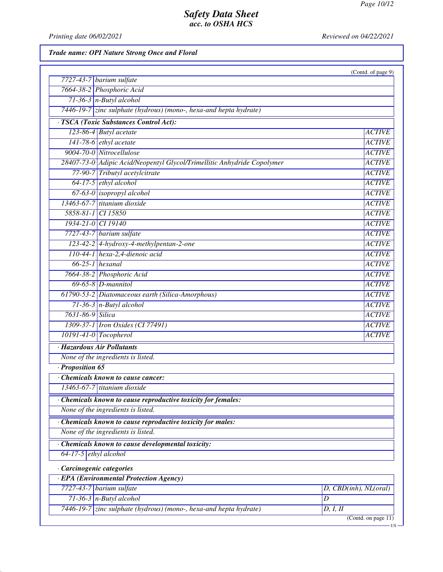*Printing date 06/02/2021 Reviewed on 04/22/2021*

*Trade name: OPI Nature Strong Once and Floral*

| <b>ACTIVE</b>             |
|---------------------------|
| <b>ACTIVE</b>             |
| <b>ACTIVE</b>             |
| <b>ACTIVE</b>             |
| <b>ACTIVE</b>             |
| <b>ACTIVE</b>             |
| <b>ACTIVE</b>             |
| <b>ACTIVE</b>             |
| <b>ACTIVE</b>             |
| <b>ACTIVE</b>             |
| <b>ACTIVE</b>             |
| <b>ACTIVE</b>             |
| <b>ACTIVE</b>             |
| <b>ACTIVE</b>             |
| <b>ACTIVE</b>             |
| <b>ACTIVE</b>             |
| <b>ACTIVE</b>             |
| <b>ACTIVE</b>             |
| <b>ACTIVE</b>             |
| <b>ACTIVE</b>             |
| <b>ACTIVE</b>             |
|                           |
|                           |
|                           |
|                           |
|                           |
|                           |
|                           |
|                           |
|                           |
|                           |
|                           |
|                           |
|                           |
| $D,$ CBD(inh), $NL(oral)$ |
| D                         |
| D, I, II                  |
| (Contd. on page 11)       |
|                           |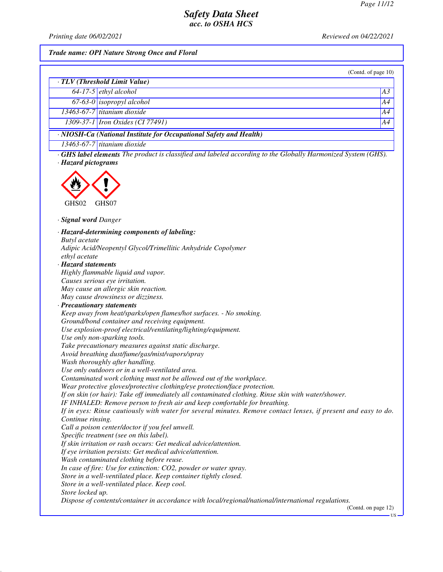*Printing date 06/02/2021 Reviewed on 04/22/2021*

#### *Trade name: OPI Nature Strong Once and Floral*

|                                                                    |                                  | (Contd. of page $10$ ) |  |
|--------------------------------------------------------------------|----------------------------------|------------------------|--|
| · TLV (Threshold Limit Value)                                      |                                  |                        |  |
|                                                                    | $64-17-5$ ethyl alcohol          | A <sub>3</sub>         |  |
|                                                                    | $67-63-0$ isopropyl alcohol      | A4                     |  |
|                                                                    | $13463-67-7$ titanium dioxide    | A4                     |  |
|                                                                    | 1309-37-1 Iron Oxides (CI 77491) | A4                     |  |
| · NIOSH-Ca (National Institute for Occupational Safety and Health) |                                  |                        |  |
|                                                                    | 13463-67-7 titanium dioxide      |                        |  |

*· GHS label elements The product is classified and labeled according to the Globally Harmonized System (GHS). · Hazard pictograms*



*· Signal word Danger*

*· Hazard-determining components of labeling: Butyl acetate Adipic Acid/Neopentyl Glycol/Trimellitic Anhydride Copolymer ethyl acetate · Hazard statements Highly flammable liquid and vapor. Causes serious eye irritation. May cause an allergic skin reaction. May cause drowsiness or dizziness. · Precautionary statements Keep away from heat/sparks/open flames/hot surfaces. - No smoking. Ground/bond container and receiving equipment. Use explosion-proof electrical/ventilating/lighting/equipment. Use only non-sparking tools. Take precautionary measures against static discharge. Avoid breathing dust/fume/gas/mist/vapors/spray Wash thoroughly after handling. Use only outdoors or in a well-ventilated area. Contaminated work clothing must not be allowed out of the workplace. Wear protective gloves/protective clothing/eye protection/face protection. If on skin (or hair): Take off immediately all contaminated clothing. Rinse skin with water/shower. IF INHALED: Remove person to fresh air and keep comfortable for breathing. If in eyes: Rinse cautiously with water for several minutes. Remove contact lenses, if present and easy to do. Continue rinsing. Call a poison center/doctor if you feel unwell. Specific treatment (see on this label). If skin irritation or rash occurs: Get medical advice/attention. If eye irritation persists: Get medical advice/attention. Wash contaminated clothing before reuse. In case of fire: Use for extinction: CO2, powder or water spray. Store in a well-ventilated place. Keep container tightly closed. Store in a well-ventilated place. Keep cool. Store locked up. Dispose of contents/container in accordance with local/regional/national/international regulations.* (Contd. on page 12)